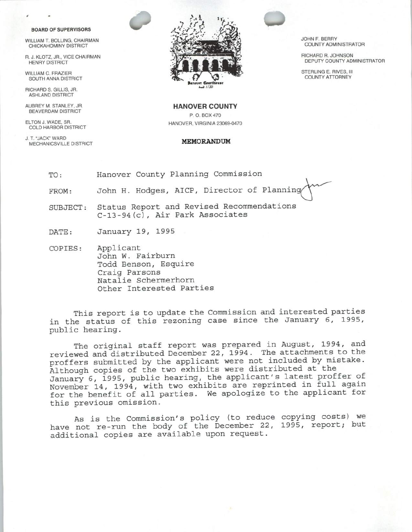## BOARD OF SUPERVISORS

CHICKAHOMINY DISTRICT

SOUTH ANNA DISTRICT

RICHARD S. GILLIS, JR. ASHLAND DISTRICT

BEAVERDAM DISTRICT

COLD HARBOR DISTRICT

J. T." JACK" WARD MECHANICSVILLE DISTRICT **MEMORANDUM** 



DEPUTY COUNTY ADMINISTRATOR

AUBREY M. STANLEY, JR. **HANOVER COUNTY** P. O. BOX 470 ELTON J. WADE, SR. HANOVER, VIRGINIA 23069-0470

- TO: Hanover County Planning Commission FROM: John H. Hodges, AICP, Director of Planning SUBJECT: Status Report and Revised Recommendations
	- C-13-94(c), Air Park Associates

DATE: January 19, 1995

COPIES: Applicant John W. Fairburn Todd Benson, Esquire Craig Parsons Natalie Schermerhorn Other Interested Parties

This report is to update the Commission and interested parties in the status of this rezoning case since the January 6, 1995, public hearing.

The original staff report was prepared in August, 1994, and reviewed and distributed December 22, 1994 . The attachments to the proffers submitted by the applicant were not included by mistake . Although copies of the two exhibits were distributed at the January 6, 1995, public hearing, the applicant's latest proffer of November 14, 1994, with two exhibits are reprinted in full again for the benefit of all parties . We apologize to the applicant for this previous omission.

As is the Commission's policy (to reduce copying costs) we have not re-run the body of the December 22, 1995, report; but additional copies are available upon request .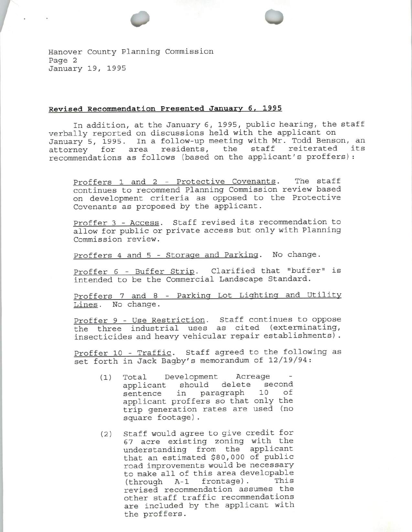Hanover County Planning Commission Page 2 January 19, 1995

## Revised Recommendation Presented January 6, 1995

In addition, at the January 6, 1995, public hearing, the staff verbally reported on discussions held with the applicant on January 5, 1995. In a follow-up meeting with Mr. Todd Benson, an attorney for area residents, the staff reiterated its recommendations as follows (based on the applicant's proffers):

oo

Proffers 1 and 2 - Protective Covenants. The staff continues to recommend Planning Commission review based on development criteria as opposed to the Protective Covenants as proposed by the applicant .

Proffer 3 - Access. Staff revised its recommendation to allow for public or private access but only with Planning Commission review.

Proffers <sup>4</sup> and 5 - Storage and Parking. No change .

Proffer 6 - Buffer Strip. Clarified that "buffer" is intended to be the Commercial Landscape Standard.

Proffers <sup>7</sup> and 8 - Parking Lot Lighting and Utility Lines. No change.

Proffer 9 - Use Restriction. Staff continues to oppose the three industrial uses as cited (exterminating, insecticides and heavy vehicular repair establishments) .

Proffer 10 - Traffic. Staff agreed to the following as set forth in Jack Bagby's memorandum of 12/19/94:

- 1) Total Development Acreage applicant should delete second sentence in paragraph <sup>10</sup> of applicant proffers so that only the trip generation rates are used (no square footage) .
- 2) Staff would agree to give credit for <sup>67</sup> acre existing zoning with the understanding from the applicant that an estimated \$80, 000 of public road improvements would be necessary to make all of this area developable<br>(through A-1 frontage). This  $(through A-1 frontage)$ . revised recommendation assumes the other staff traffic recommendations are included by the applicant with the proffers .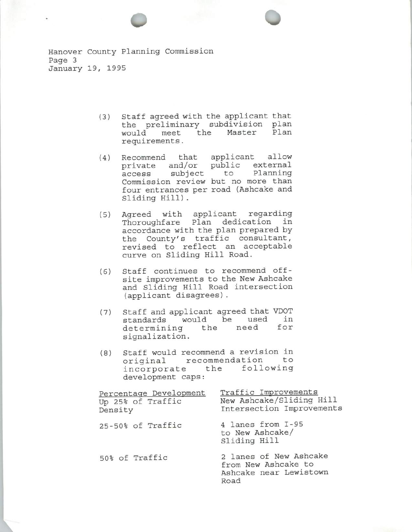Hanover County Planning Commission Page 3 January 19, 1995

- 3) Staff agreed with the applicant that the preliminary subdivision plan<br>would meet the Master Plan would meet the requirements .
- 4) Recommend that applicant allow private and/or public external<br>access subject to Planning access subject to Commission review but no more than four entrances per road ( Ashcake and Sliding Hill) .
- 5) Agreed with applicant regarding Thoroughfare Plan dedication in accordance with the plan prepared by the County's traffic consultant, revised to reflect an acceptable curve on Sliding Hill Road.
- 6) Staff continues to recommend offsite improvements to the New Ashcake and Sliding Hill Road intersection applicant disagrees) .
- 7) Staff and applicant agreed that VDOT standards would be used in determining the signalization.
- 8) Staff would recommend <sup>a</sup> revision in original recommendation to incorporate the following development caps :

| Percentage Development<br>Up 25% of Traffic<br>Density | Traffic Improvements<br>New Ashcake/Sliding Hill<br>Intersection Improvements   |
|--------------------------------------------------------|---------------------------------------------------------------------------------|
| 25-50% of Traffic                                      | 4 lanes from I-95<br>to New Ashcake/<br>Sliding Hill                            |
| 50% of Traffic                                         | 2 lanes of New Ashcake<br>from New Ashcake to<br>Ashcake near Lewistown<br>Road |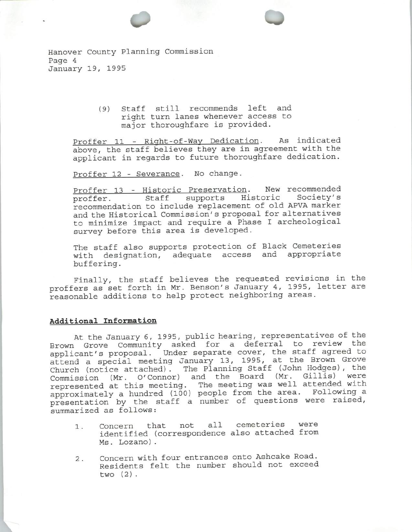Hanover County Planning Commission Page 4 January 19, 1995

> 9) Staff still recommends left and right turn lanes whenever access to major thoroughfare is provided.

Proffer 11 - Right-of-Way Dedication. As indicated above, the staff believes they are in agreement with the applicant in regards to future thoroughfare dedication.

14

Proffer 12 - Severance. No change.

Proffer 13 - Historic Preservation. New recommended proffer. Staff supports Historic Society's recommendation to include replacement of old APVA marker and the Historical Commission' s proposal for alternatives to minimize impact and require <sup>a</sup> Phase I archeological survey before this area is developed.

The staff also supports protection of Black Cemeteries with designation, adequate access and appropriate buffering.

Finally, the staff believes the requested revisions in the proffers as set forth in Mr. Benson's January 4, 1995, letter are reasonable additions to help protect neighboring areas .

## Additional Information

At the January 6, 1995, public hearing, representatives of the Brown Grove Community asked for <sup>a</sup> deferral to review the applicant's proposal. Under separate cover, the staff agreed to attend a special meeting January 13, 1995, at the Brown Grove<br>Church (notice attached). The Planning Staff (John Hodges), the The Planning Staff (John Hodges), the Commission (Mr. O'Connor) and the Board (Mr. Gillis) were represented at this meeting. The meeting was well attended with approximately a hundred (100) people from the area. Following a approximately a nundred (100) people from the dred. Technology<br>presentation by the staff a number of questions were raised summarized as follows :

- 1. Concern that not all cemeteries were identified ( correspondence also attached from Ms . Lozano) .
- 2. Concern with four entrances onto Ashcake Road. Residents felt the number should not exceed two  $(2)$ .